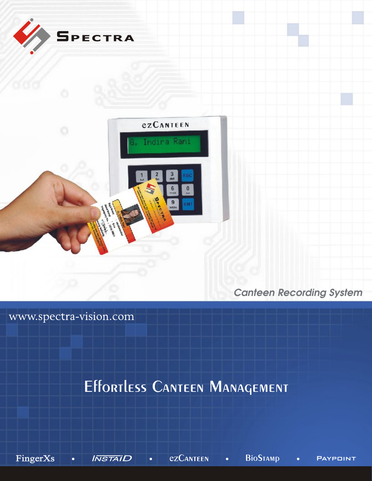

*Canteen Recording System*

www.spectra-vision.com

# Effortless CANTEEN MANAGEMENT